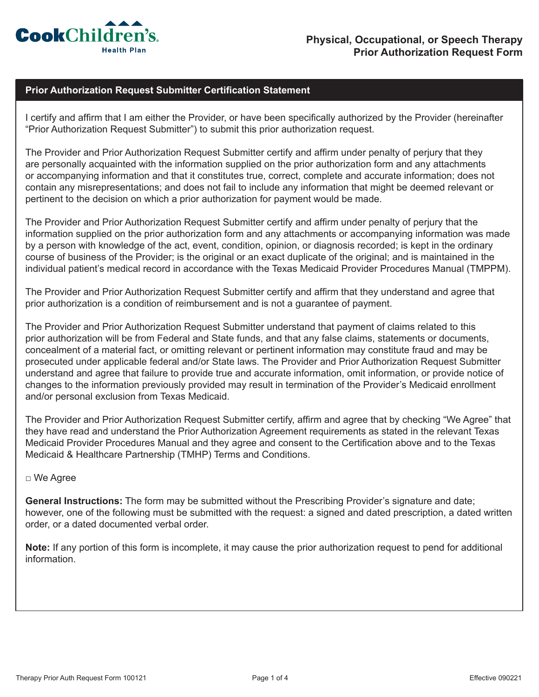

## **Prior Authorization Request Submitter Certification Statement**

I certify and affirm that I am either the Provider, or have been specifically authorized by the Provider (hereinafter "Prior Authorization Request Submitter") to submit this prior authorization request.

The Provider and Prior Authorization Request Submitter certify and affirm under penalty of perjury that they are personally acquainted with the information supplied on the prior authorization form and any attachments or accompanying information and that it constitutes true, correct, complete and accurate information; does not contain any misrepresentations; and does not fail to include any information that might be deemed relevant or pertinent to the decision on which a prior authorization for payment would be made.

The Provider and Prior Authorization Request Submitter certify and affirm under penalty of perjury that the information supplied on the prior authorization form and any attachments or accompanying information was made by a person with knowledge of the act, event, condition, opinion, or diagnosis recorded; is kept in the ordinary course of business of the Provider; is the original or an exact duplicate of the original; and is maintained in the individual patient's medical record in accordance with the Texas Medicaid Provider Procedures Manual (TMPPM).

The Provider and Prior Authorization Request Submitter certify and affirm that they understand and agree that prior authorization is a condition of reimbursement and is not a guarantee of payment.

The Provider and Prior Authorization Request Submitter understand that payment of claims related to this prior authorization will be from Federal and State funds, and that any false claims, statements or documents, concealment of a material fact, or omitting relevant or pertinent information may constitute fraud and may be prosecuted under applicable federal and/or State laws. The Provider and Prior Authorization Request Submitter understand and agree that failure to provide true and accurate information, omit information, or provide notice of changes to the information previously provided may result in termination of the Provider's Medicaid enrollment and/or personal exclusion from Texas Medicaid.

The Provider and Prior Authorization Request Submitter certify, affirm and agree that by checking "We Agree" that they have read and understand the Prior Authorization Agreement requirements as stated in the relevant Texas Medicaid Provider Procedures Manual and they agree and consent to the Certification above and to the Texas Medicaid & Healthcare Partnership (TMHP) Terms and Conditions.

## □ We Agree

**General Instructions:** The form may be submitted without the Prescribing Provider's signature and date; however, one of the following must be submitted with the request: a signed and dated prescription, a dated written order, or a dated documented verbal order.

**Note:** If any portion of this form is incomplete, it may cause the prior authorization request to pend for additional information.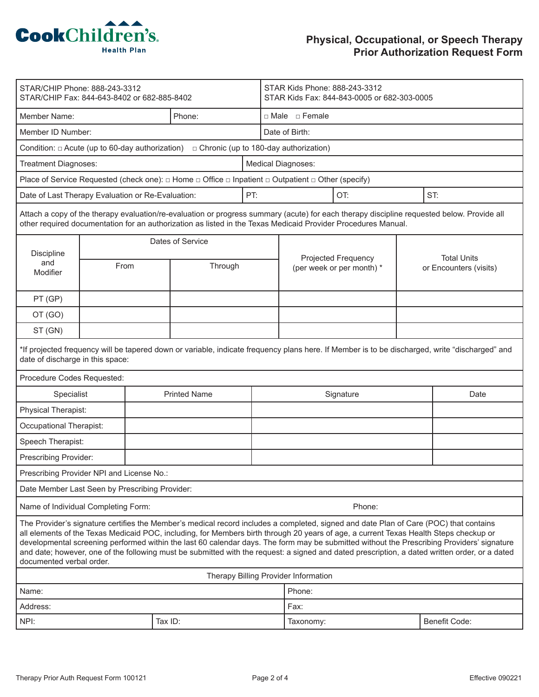

| STAR/CHIP Phone: 888-243-3312<br>STAR/CHIP Fax: 844-643-8402 or 682-885-8402                                                                                                                                                                                                                                                                                                                                                                                                                                                                                                                               |      |                     |         |  | STAR Kids Phone: 888-243-3312<br>STAR Kids Fax: 844-843-0005 or 682-303-0005 |                                      |  |                        |  |
|------------------------------------------------------------------------------------------------------------------------------------------------------------------------------------------------------------------------------------------------------------------------------------------------------------------------------------------------------------------------------------------------------------------------------------------------------------------------------------------------------------------------------------------------------------------------------------------------------------|------|---------------------|---------|--|------------------------------------------------------------------------------|--------------------------------------|--|------------------------|--|
| Member Name:                                                                                                                                                                                                                                                                                                                                                                                                                                                                                                                                                                                               |      |                     | Phone:  |  | □ Male □ Female                                                              |                                      |  |                        |  |
| Member ID Number:                                                                                                                                                                                                                                                                                                                                                                                                                                                                                                                                                                                          |      |                     |         |  | Date of Birth:                                                               |                                      |  |                        |  |
| Condition: $\Box$ Acute (up to 60-day authorization) $\Box$ Chronic (up to 180-day authorization)                                                                                                                                                                                                                                                                                                                                                                                                                                                                                                          |      |                     |         |  |                                                                              |                                      |  |                        |  |
| Treatment Diagnoses:                                                                                                                                                                                                                                                                                                                                                                                                                                                                                                                                                                                       |      |                     |         |  | Medical Diagnoses:                                                           |                                      |  |                        |  |
| Place of Service Requested (check one): $\Box$ Home $\Box$ Office $\Box$ Inpatient $\Box$ Outpatient $\Box$ Other (specify)                                                                                                                                                                                                                                                                                                                                                                                                                                                                                |      |                     |         |  |                                                                              |                                      |  |                        |  |
| Date of Last Therapy Evaluation or Re-Evaluation:                                                                                                                                                                                                                                                                                                                                                                                                                                                                                                                                                          |      |                     | PT:     |  |                                                                              | OT:                                  |  | ST:                    |  |
| Attach a copy of the therapy evaluation/re-evaluation or progress summary (acute) for each therapy discipline requested below. Provide all<br>other required documentation for an authorization as listed in the Texas Medicaid Provider Procedures Manual.                                                                                                                                                                                                                                                                                                                                                |      |                     |         |  |                                                                              |                                      |  |                        |  |
|                                                                                                                                                                                                                                                                                                                                                                                                                                                                                                                                                                                                            |      | Dates of Service    |         |  |                                                                              |                                      |  |                        |  |
| Discipline<br>and                                                                                                                                                                                                                                                                                                                                                                                                                                                                                                                                                                                          | From |                     | Through |  |                                                                              | Projected Frequency                  |  | <b>Total Units</b>     |  |
| Modifier                                                                                                                                                                                                                                                                                                                                                                                                                                                                                                                                                                                                   |      |                     |         |  |                                                                              | (per week or per month) *            |  | or Encounters (visits) |  |
| PT (GP)                                                                                                                                                                                                                                                                                                                                                                                                                                                                                                                                                                                                    |      |                     |         |  |                                                                              |                                      |  |                        |  |
| OT (GO)                                                                                                                                                                                                                                                                                                                                                                                                                                                                                                                                                                                                    |      |                     |         |  |                                                                              |                                      |  |                        |  |
| ST (GN)                                                                                                                                                                                                                                                                                                                                                                                                                                                                                                                                                                                                    |      |                     |         |  |                                                                              |                                      |  |                        |  |
| *If projected frequency will be tapered down or variable, indicate frequency plans here. If Member is to be discharged, write "discharged" and<br>date of discharge in this space:                                                                                                                                                                                                                                                                                                                                                                                                                         |      |                     |         |  |                                                                              |                                      |  |                        |  |
| Procedure Codes Requested:                                                                                                                                                                                                                                                                                                                                                                                                                                                                                                                                                                                 |      |                     |         |  |                                                                              |                                      |  |                        |  |
| Specialist                                                                                                                                                                                                                                                                                                                                                                                                                                                                                                                                                                                                 |      | <b>Printed Name</b> |         |  | Signature                                                                    |                                      |  | Date                   |  |
| Physical Therapist:                                                                                                                                                                                                                                                                                                                                                                                                                                                                                                                                                                                        |      |                     |         |  |                                                                              |                                      |  |                        |  |
| Occupational Therapist:                                                                                                                                                                                                                                                                                                                                                                                                                                                                                                                                                                                    |      |                     |         |  |                                                                              |                                      |  |                        |  |
| Speech Therapist:                                                                                                                                                                                                                                                                                                                                                                                                                                                                                                                                                                                          |      |                     |         |  |                                                                              |                                      |  |                        |  |
| Prescribing Provider:                                                                                                                                                                                                                                                                                                                                                                                                                                                                                                                                                                                      |      |                     |         |  |                                                                              |                                      |  |                        |  |
| Prescribing Provider NPI and License No.:                                                                                                                                                                                                                                                                                                                                                                                                                                                                                                                                                                  |      |                     |         |  |                                                                              |                                      |  |                        |  |
| Date Member Last Seen by Prescribing Provider:                                                                                                                                                                                                                                                                                                                                                                                                                                                                                                                                                             |      |                     |         |  |                                                                              |                                      |  |                        |  |
| Name of Individual Completing Form:                                                                                                                                                                                                                                                                                                                                                                                                                                                                                                                                                                        |      |                     |         |  |                                                                              | Phone:                               |  |                        |  |
| The Provider's signature certifies the Member's medical record includes a completed, signed and date Plan of Care (POC) that contains<br>all elements of the Texas Medicaid POC, including, for Members birth through 20 years of age, a current Texas Health Steps checkup or<br>developmental screening performed within the last 60 calendar days. The form may be submitted without the Prescribing Providers' signature<br>and date; however, one of the following must be submitted with the request: a signed and dated prescription, a dated written order, or a dated<br>documented verbal order. |      |                     |         |  |                                                                              |                                      |  |                        |  |
|                                                                                                                                                                                                                                                                                                                                                                                                                                                                                                                                                                                                            |      |                     |         |  |                                                                              | Therapy Billing Provider Information |  |                        |  |
| Name:                                                                                                                                                                                                                                                                                                                                                                                                                                                                                                                                                                                                      |      |                     |         |  |                                                                              | Phone:                               |  |                        |  |
| Address:                                                                                                                                                                                                                                                                                                                                                                                                                                                                                                                                                                                                   |      |                     |         |  |                                                                              | Fax:                                 |  |                        |  |
| NPI:                                                                                                                                                                                                                                                                                                                                                                                                                                                                                                                                                                                                       |      | Tax ID:             |         |  |                                                                              | Taxonomy:                            |  | <b>Benefit Code:</b>   |  |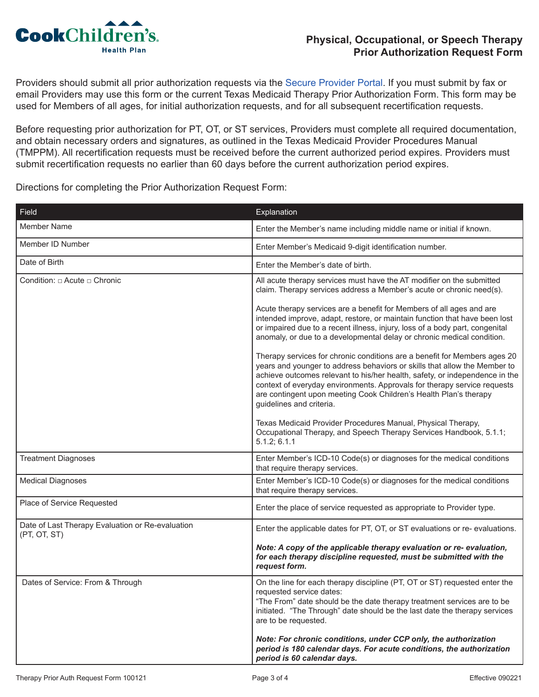

Providers should submit all prior authorization requests via the [Secure Provider Portal](https://epiccarelink.cookchp.org/LinkHealthPlan/common/epic_login.asp). If you must submit by fax or email Providers may use this form or the current Texas Medicaid Therapy Prior Authorization Form. This form may be used for Members of all ages, for initial authorization requests, and for all subsequent recertification requests.

Before requesting prior authorization for PT, OT, or ST services, Providers must complete all required documentation, and obtain necessary orders and signatures, as outlined in the Texas Medicaid Provider Procedures Manual (TMPPM). All recertification requests must be received before the current authorized period expires. Providers must submit recertification requests no earlier than 60 days before the current authorization period expires.

Directions for completing the Prior Authorization Request Form:

| Field                                                            | Explanation                                                                                                                                                                                                                                                                                                                                                                                                        |
|------------------------------------------------------------------|--------------------------------------------------------------------------------------------------------------------------------------------------------------------------------------------------------------------------------------------------------------------------------------------------------------------------------------------------------------------------------------------------------------------|
| Member Name                                                      | Enter the Member's name including middle name or initial if known.                                                                                                                                                                                                                                                                                                                                                 |
| Member ID Number                                                 | Enter Member's Medicaid 9-digit identification number.                                                                                                                                                                                                                                                                                                                                                             |
| Date of Birth                                                    | Enter the Member's date of birth.                                                                                                                                                                                                                                                                                                                                                                                  |
| Condition: □ Acute □ Chronic                                     | All acute therapy services must have the AT modifier on the submitted<br>claim. Therapy services address a Member's acute or chronic need(s).                                                                                                                                                                                                                                                                      |
|                                                                  | Acute therapy services are a benefit for Members of all ages and are<br>intended improve, adapt, restore, or maintain function that have been lost<br>or impaired due to a recent illness, injury, loss of a body part, congenital<br>anomaly, or due to a developmental delay or chronic medical condition.                                                                                                       |
|                                                                  | Therapy services for chronic conditions are a benefit for Members ages 20<br>years and younger to address behaviors or skills that allow the Member to<br>achieve outcomes relevant to his/her health, safety, or independence in the<br>context of everyday environments. Approvals for therapy service requests<br>are contingent upon meeting Cook Children's Health Plan's therapy<br>guidelines and criteria. |
|                                                                  | Texas Medicaid Provider Procedures Manual, Physical Therapy,<br>Occupational Therapy, and Speech Therapy Services Handbook, 5.1.1;<br>5.1.2; 6.1.1                                                                                                                                                                                                                                                                 |
| <b>Treatment Diagnoses</b>                                       | Enter Member's ICD-10 Code(s) or diagnoses for the medical conditions<br>that require therapy services.                                                                                                                                                                                                                                                                                                            |
| <b>Medical Diagnoses</b>                                         | Enter Member's ICD-10 Code(s) or diagnoses for the medical conditions<br>that require therapy services.                                                                                                                                                                                                                                                                                                            |
| Place of Service Requested                                       | Enter the place of service requested as appropriate to Provider type.                                                                                                                                                                                                                                                                                                                                              |
| Date of Last Therapy Evaluation or Re-evaluation<br>(PT, OT, ST) | Enter the applicable dates for PT, OT, or ST evaluations or re- evaluations.                                                                                                                                                                                                                                                                                                                                       |
|                                                                  | Note: A copy of the applicable therapy evaluation or re-evaluation,<br>for each therapy discipline requested, must be submitted with the<br>request form.                                                                                                                                                                                                                                                          |
| Dates of Service: From & Through                                 | On the line for each therapy discipline (PT, OT or ST) requested enter the<br>requested service dates:<br>"The From" date should be the date therapy treatment services are to be<br>initiated. "The Through" date should be the last date the therapy services<br>are to be requested.                                                                                                                            |
|                                                                  | Note: For chronic conditions, under CCP only, the authorization<br>period is 180 calendar days. For acute conditions, the authorization<br>period is 60 calendar days.                                                                                                                                                                                                                                             |